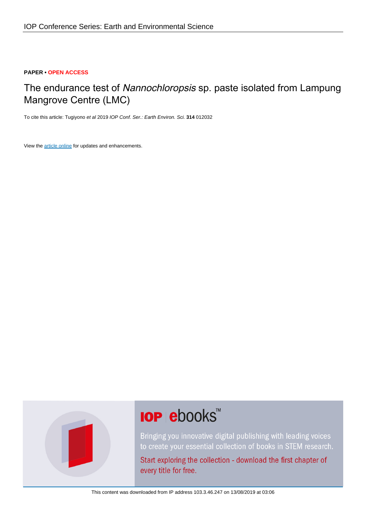# **PAPER • OPEN ACCESS**

# The endurance test of Nannochloropsis sp. paste isolated from Lampung Mangrove Centre (LMC)

To cite this article: Tugiyono et al 2019 IOP Conf. Ser.: Earth Environ. Sci. **314** 012032

View the [article online](https://doi.org/10.1088/1755-1315/314/1/012032) for updates and enhancements.



# **IOP ebooks**™

Bringing you innovative digital publishing with leading voices to create your essential collection of books in STEM research.

Start exploring the collection - download the first chapter of every title for free.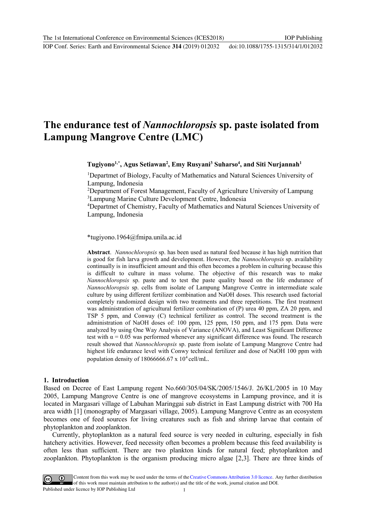# **The endurance test of** *Nannochloropsis* **sp. paste isolated from Lampung Mangrove Centre (LMC)**

**Tugiyono1,\* , Agus Setiawan<sup>2</sup> , Emy Rusyani<sup>3</sup> Suharso<sup>4</sup> , and Siti Nurjannah<sup>1</sup>**

<sup>1</sup>Departmet of Biology, Faculty of Mathematics and Natural Sciences University of Lampung, Indonesia

<sup>2</sup>Department of Forest Management, Faculty of Agriculture University of Lampung <sup>3</sup>Lampung Marine Culture Development Centre, Indonesia

<sup>4</sup>Departmet of Chemistry, Faculty of Mathematics and Natural Sciences University of Lampung, Indonesia

\*tugiyono.1964@fmipa.unila.ac.id

**Abstract**. *Nannochloropsis* sp. has been used as natural feed because it has high nutrition that is good for fish larva growth and development. However, the *Nannochloropsis* sp. availability continually is in insufficient amount and this often becomes a problem in culturing because this is difficult to culture in mass volume. The objective of this research was to make *Nannochloropsis* sp. paste and to test the paste quality based on the life endurance of *Nannochloropsis* sp. cells from isolate of Lampung Mangrove Centre in intermediate scale culture by using different fertilizer combination and NaOH doses. This research used factorial completely randomized design with two treatments and three repetitions. The first treatment was administration of agricultural fertilizer combination of (P) urea 40 ppm, ZA 20 ppm, and TSP 5 ppm, and Conway (C) technical fertilizer as control. The second treatment is the administration of NaOH doses of: 100 ppm, 125 ppm, 150 ppm, and 175 ppm. Data were analyzed by using One Way Analysis of Variance (ANOVA), and Least Significant Difference test with  $\alpha = 0.05$  was performed whenever any significant difference was found. The research result showed that *Nannochloropsis* sp. paste from isolate of Lampung Mangrove Centre had highest life endurance level with Conwy technical fertilizer and dose of NaOH 100 ppm with population density of  $1806666667$  x  $10<sup>4</sup>$  cell/mL.

#### **1. Introduction**

Based on Decree of East Lampung regent No.660/305/04/SK/2005/1546/J. 26/KL/2005 in 10 May 2005, Lampung Mangrove Centre is one of mangrove ecosystems in Lampung province, and it is located in Margasari village of Labuhan Maringgai sub district in East Lampung district with 700 Ha area width [1] (monography of Margasari village, 2005). Lampung Mangrove Centre as an ecosystem becomes one of feed sources for living creatures such as fish and shrimp larvae that contain of phytoplankton and zooplankton.

Currently, phytoplankton as a natural feed source is very needed in culturing, especially in fish hatchery activities. However, feed necessity often becomes a problem because this feed availability is often less than sufficient. There are two plankton kinds for natural feed; phytoplankton and zooplankton. Phytoplankton is the organism producing micro algae [2,3]. There are three kinds of

Content from this work may be used under the terms of the Creative Commons Attribution 3.0 licence. Any further distribution of this work must maintain attribution to the author(s) and the title of the work, journal citation and DOI. Published under licence by IOP Publishing Ltd 1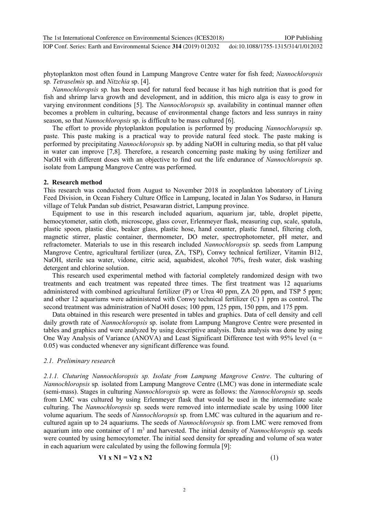phytoplankton most often found in Lampung Mangrove Centre water for fish feed; *Nannochloropsis*  sp*. Tetraselmis* sp. and *Nitzchia* sp. [4].

*Nannochloropsis* sp*.* has been used for natural feed because it has high nutrition that is good for fish and shrimp larva growth and development, and in addition, this micro alga is easy to grow in varying environment conditions [5]. The *Nannochloropsis* sp. availability in continual manner often becomes a problem in culturing, because of environmental change factors and less sunrays in rainy season, so that *Nannochloropsis* sp. is difficult to be mass cultured [6].

The effort to provide phytoplankton population is performed by producing *Nannochloropsis* sp. paste. This paste making is a practical way to provide natural feed stock. The paste making is performed by precipitating *Nannochloropsis* sp. by adding NaOH in culturing media, so that pH value in water can improve [7,8]. Therefore, a research concerning paste making by using fertilizer and NaOH with different doses with an objective to find out the life endurance of *Nannochloropsis* sp. isolate from Lampung Mangrove Centre was performed.

#### **2. Research method**

This research was conducted from August to November 2018 in zooplankton laboratory of Living Feed Division, in Ocean Fishery Culture Office in Lampung, located in Jalan Yos Sudarso, in Hanura village of Teluk Pandan sub district, Pesawaran district, Lampung province.

Equipment to use in this research included aquarium, aquarium jar, table, droplet pipette, hemocytometer, satin cloth, microscope, glass cover, Erlenmeyer flask, measuring cup, scale, spatula, plastic spoon, plastic disc, beaker glass, plastic hose, hand counter, plastic funnel, filtering cloth, magnetic stirrer, plastic container, thermometer, DO meter, spectrophotometer, pH meter, and refractometer. Materials to use in this research included *Nannochloropsis* sp. seeds from Lampung Mangrove Centre, agricultural fertilizer (urea, ZA, TSP), Conwy technical fertilizer, Vitamin B12, NaOH, sterile sea water, vidone, citric acid, aquabidest, alcohol 70%, fresh water, disk washing detergent and chlorine solution.

This research used experimental method with factorial completely randomized design with two treatments and each treatment was repeated three times. The first treatment was 12 aquariums administered with combined agricultural fertilizer (P) or Urea 40 ppm, ZA 20 ppm, and TSP 5 ppm; and other 12 aquariums were administered with Conwy technical fertilizer (C) 1 ppm as control. The second treatment was administration of NaOH doses; 100 ppm, 125 ppm, 150 ppm, and 175 ppm.

Data obtained in this research were presented in tables and graphics. Data of cell density and cell daily growth rate of *Nannochloropsis* sp. isolate from Lampung Mangrove Centre were presented in tables and graphics and were analyzed by using descriptive analysis. Data analysis was done by using One Way Analysis of Variance (ANOVA) and Least Significant Difference test with 95% level ( $\alpha$  = 0.05) was conducted whenever any significant difference was found.

# *2.1. Preliminary research*

*2.1.1. Cluturing Nannochloropsis sp. Isolate from Lampung Mangrove Centre*. The culturing of *Nannochloropsis* sp*.* isolated from Lampung Mangrove Centre (LMC) was done in intermediate scale (semi-mass). Stages in culturing *Nannochloropsis* sp*.* were as follows: the *Nannochloropsis* sp*.* seeds from LMC was cultured by using Erlenmeyer flask that would be used in the intermediate scale culturing. The *Nannochloropsis* sp*.* seeds were removed into intermediate scale by using 1000 liter volume aquarium. The seeds of *Nannochloropsis* sp*.* from LMC was cultured in the aquarium and recultured again up to 24 aquariums. The seeds of *Nannochloropsis* sp*.* from LMC were removed from aquarium into one container of 1 m<sup>3</sup> and harvested. The initial density of *Nannochloropsis* sp. seeds were counted by using hemocytometer. The initial seed density for spreading and volume of sea water in each aquarium were calculated by using the following formula [9]:

$$
V1 \times N1 = V2 \times N2 \tag{1}
$$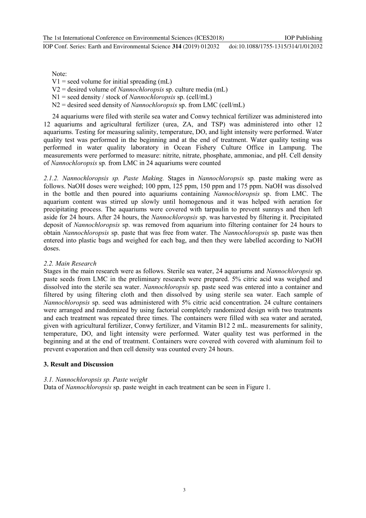IOP Conf. Series: Earth and Environmental Science **314** (2019) 012032 doi:10.1088/1755-1315/314/1/012032

Note:

 $V1$  = seed volume for initial spreading (mL)

V2 = desired volume of *Nannochloropsis* sp. culture media (mL)

- N1 = seed density / stock of *Nannochloropsis* sp. (cell/mL)
- N2 = desired seed density of *Nannochloropsis* sp. from LMC (cell/mL)

24 aquariums were filed with sterile sea water and Conwy technical fertilizer was administered into 12 aquariums and agricultural fertilizer (urea, ZA, and TSP) was administered into other 12 aquariums. Testing for measuring salinity, temperature, DO, and light intensity were performed. Water quality test was performed in the beginning and at the end of treatment. Water quality testing was performed in water quality laboratory in Ocean Fishery Culture Office in Lampung. The measurements were performed to measure: nitrite, nitrate, phosphate, ammoniac, and pH. Cell density of *Nannochloropsis* sp*.* from LMC in 24 aquariums were counted

*2.1.2. Nannochloropsis sp. Paste Making.* Stages in *Nannochloropsis* sp*.* paste making were as follows. NaOH doses were weighed; 100 ppm, 125 ppm, 150 ppm and 175 ppm. NaOH was dissolved in the bottle and then poured into aquariums containing *Nannochloropsis* sp. from LMC. The aquarium content was stirred up slowly until homogenous and it was helped with aeration for precipitating process. The aquariums were covered with tarpaulin to prevent sunrays and then left aside for 24 hours. After 24 hours, the *Nannochloropsis* sp. was harvested by filtering it. Precipitated deposit of *Nannochloropsis* sp. was removed from aquarium into filtering container for 24 hours to obtain *Nannochloropsis* sp. paste that was free from water. The *Nannochloropsis* sp. paste was then entered into plastic bags and weighed for each bag, and then they were labelled according to NaOH doses.

# *2.2. Main Research*

Stages in the main research were as follows. Sterile sea water, 24 aquariums and *Nannochloropsis* sp. paste seeds from LMC in the preliminary research were prepared. 5% citric acid was weighed and dissolved into the sterile sea water. *Nannochloropsis* sp. paste seed was entered into a container and filtered by using filtering cloth and then dissolved by using sterile sea water. Each sample of *Nannochloropsis* sp. seed was administered with 5% citric acid concentration. 24 culture containers were arranged and randomized by using factorial completely randomized design with two treatments and each treatment was repeated three times. The containers were filled with sea water and aerated, given with agricultural fertilizer, Conwy fertilizer, and Vitamin B12 2 mL. measurements for salinity, temperature, DO, and light intensity were performed. Water quality test was performed in the beginning and at the end of treatment. Containers were covered with covered with aluminum foil to prevent evaporation and then cell density was counted every 24 hours.

# **3. Result and Discussion**

# *3.1. Nannochloropsis sp. Paste weight*

Data of *Nannochloropsis* sp. paste weight in each treatment can be seen in Figure 1.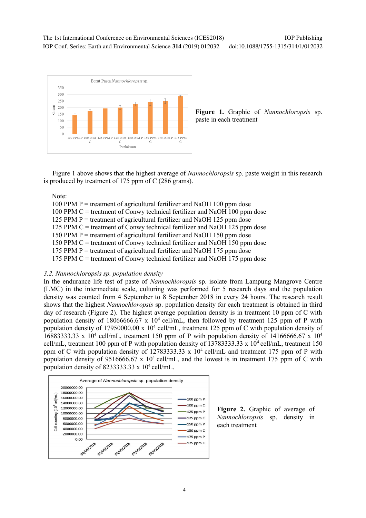IOP Conf. Series: Earth and Environmental Science **314** (2019) 012032 doi:10.1088/1755-1315/314/1/012032



**Figure 1.** Graphic of *Nannochloropsis* sp. paste in each treatment

Figure 1 above shows that the highest average of *Nannochloropsis* sp. paste weight in this research is produced by treatment of 175 ppm of C (286 grams).

Note:

100 PPM P = treatment of agricultural fertilizer and NaOH 100 ppm dose 100 PPM C = treatment of Conwy technical fertilizer and NaOH 100 ppm dose 125 PPM P = treatment of agricultural fertilizer and NaOH 125 ppm dose 125 PPM C = treatment of Conwy technical fertilizer and NaOH 125 ppm dose 150 PPM  $P =$  treatment of agricultural fertilizer and NaOH 150 ppm dose 150 PPM C = treatment of Conwy technical fertilizer and NaOH 150 ppm dose 175 PPM P = treatment of agricultural fertilizer and NaOH 175 ppm dose 175 PPM C = treatment of Conwy technical fertilizer and NaOH 175 ppm dose

#### *3.2. Nannochloropsis sp. population density*

In the endurance life test of paste of *Nannochloropsis* sp. isolate from Lampung Mangrove Centre (LMC) in the intermediate scale, culturing was performed for 5 research days and the population density was counted from 4 September to 8 September 2018 in every 24 hours. The research result shows that the highest *Nannochloropsis* sp. population density for each treatment is obtained in third day of research (Figure 2). The highest average population density is in treatment 10 ppm of C with population density of 18066666.67 x  $10^4$  cell/mL, then followed by treatment 125 ppm of P with population density of 17950000.00 x 10<sup>4</sup> cell/mL, treatment 125 ppm of C with population density of 16883333.33 x 10<sup>4</sup> cell/mL, treatment 150 ppm of P with population density of 14166666.67 x 10<sup>4</sup> cell/mL, treatment 100 ppm of P with population density of 13783333.33 x 10<sup>4</sup> cell/mL, treatment 150 ppm of C with population density of 12783333.33 x  $10<sup>4</sup>$  cell/mL and treatment 175 ppm of P with population density of 9516666.67 x  $10^4$  cell/mL, and the lowest is in treatment 175 ppm of C with population density of 8233333.33 x  $10^4$  cell/mL.



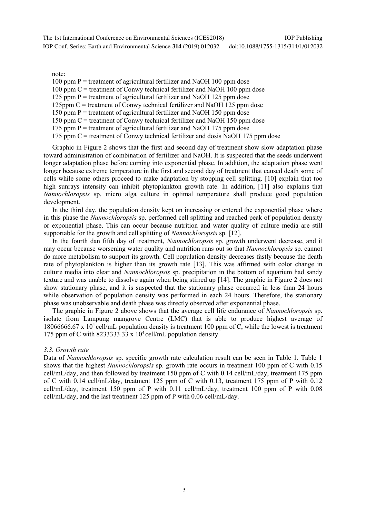note:

100 ppm  $P =$  treatment of agricultural fertilizer and NaOH 100 ppm dose

100 ppm  $C =$  treatment of Conwy technical fertilizer and NaOH 100 ppm dose

125 ppm  $P =$  treatment of agricultural fertilizer and NaOH 125 ppm dose

125ppm  $C$  = treatment of Conwy technical fertilizer and NaOH 125 ppm dose

150 ppm  $P =$  treatment of agricultural fertilizer and NaOH 150 ppm dose

150 ppm  $C$  = treatment of Conwy technical fertilizer and NaOH 150 ppm dose

175 ppm  $P =$  treatment of agricultural fertilizer and NaOH 175 ppm dose

175 ppm  $C$  = treatment of Conwy technical fertilizer and dosis NaOH 175 ppm dose

Graphic in Figure 2 shows that the first and second day of treatment show slow adaptation phase toward administration of combination of fertilizer and NaOH. It is suspected that the seeds underwent longer adaptation phase before coming into exponential phase. In addition, the adaptation phase went longer because extreme temperature in the first and second day of treatment that caused death some of cells while some others proceed to make adaptation by stopping cell splitting. [10] explain that too high sunrays intensity can inhibit phytoplankton growth rate. In addition, [11] also explains that *Nannochloropsis* sp. micro alga culture in optimal temperature shall produce good population development.

In the third day, the population density kept on increasing or entered the exponential phase where in this phase the *Nannochloropsis* sp. performed cell splitting and reached peak of population density or exponential phase. This can occur because nutrition and water quality of culture media are still supportable for the growth and cell splitting of *Nannochloropsis* sp. [12].

In the fourth dan fifth day of treatment, *Nannochloropsis* sp. growth underwent decrease, and it may occur because worsening water quality and nutrition runs out so that *Nannochloropsis* sp. cannot do more metabolism to support its growth. Cell population density decreases fastly because the death rate of phytoplankton is higher than its growth rate [13]. This was affirmed with color change in culture media into clear and *Nannochloropsis* sp. precipitation in the bottom of aquarium had sandy texture and was unable to dissolve again when being stirred up [14]. The graphic in Figure 2 does not show stationary phase, and it is suspected that the stationary phase occurred in less than 24 hours while observation of population density was performed in each 24 hours. Therefore, the stationary phase was unobservable and death phase was directly observed after exponential phase.

The graphic in Figure 2 above shows that the average cell life endurance of *Nannochloropsis* sp. isolate from Lampung mangrove Centre (LMC) that is able to produce highest average of 18066666.67 x 10<sup>4</sup> cell/mL population density is treatment 100 ppm of C, while the lowest is treatment 175 ppm of C with 8233333.33 x 10 <sup>4</sup>cell/mL population density.

# *3.3. Growth rate*

Data of *Nannochloropsis* sp. specific growth rate calculation result can be seen in Table 1. Table 1 shows that the highest *Nannochloropsis* sp. growth rate occurs in treatment 100 ppm of C with 0.15 cell/mL/day, and then followed by treatment 150 ppm of C with 0.14 cell/mL/day, treatment 175 ppm of C with 0.14 cell/mL/day, treatment 125 ppm of C with 0.13, treatment 175 ppm of P with 0.12 cell/mL/day, treatment 150 ppm of P with 0.11 cell/mL/day, treatment 100 ppm of P with 0.08 cell/mL/day, and the last treatment 125 ppm of P with 0.06 cell/mL/day.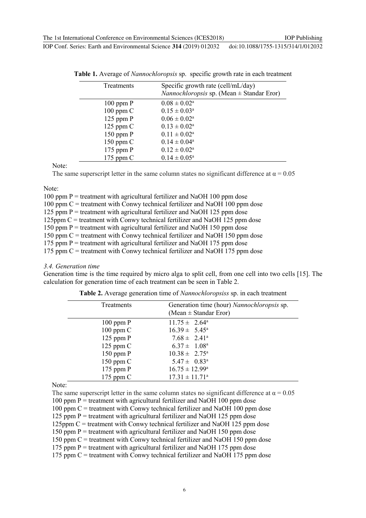| г сонн өснөө. Багагаас Бичноншонаг эскиес от т <i>е</i> отэт от <i>еоэе</i> |  | 001.10.1000/1722 1212/21 0101202 |
|-----------------------------------------------------------------------------|--|----------------------------------|
|                                                                             |  |                                  |
|                                                                             |  |                                  |

| <b>Treatments</b> | Specific growth rate (cell/mL/day)<br><i>Nannochloropsis</i> sp. (Mean $\pm$ Standar Eror) |
|-------------------|--------------------------------------------------------------------------------------------|
| $100$ ppm $P$     | $0.08 \pm 0.02^{\rm a}$                                                                    |
| $100$ ppm $C$     | $0.15 \pm 0.03^a$                                                                          |
| $125$ ppm $P$     | $0.06 \pm 0.02^a$                                                                          |
| $125$ ppm $C$     | $0.13 \pm 0.02^a$                                                                          |
| $150$ ppm $P$     | $0.11 \pm 0.02^a$                                                                          |
| $150$ ppm $C$     | $0.14 \pm 0.04^a$                                                                          |
| $175$ ppm $P$     | $0.12 \pm 0.02^a$                                                                          |
| 175 ppm $C$       | $0.14 \pm 0.05^{\rm a}$                                                                    |

**Table 1.** Average of *Nannochloropsis* sp. specific growth rate in each treatment

Note:

The same superscript letter in the same column states no significant difference at  $\alpha = 0.05$ 

#### Note:

100 ppm  $P =$  treatment with agricultural fertilizer and NaOH 100 ppm dose 100 ppm  $C =$  treatment with Conwy technical fertilizer and NaOH 100 ppm dose 125 ppm  $P =$  treatment with agricultural fertilizer and NaOH 125 ppm dose 125ppm  $C$  = treatment with Conwy technical fertilizer and NaOH 125 ppm dose 150 ppm  $P =$  treatment with agricultural fertilizer and NaOH 150 ppm dose 150 ppm  $C =$  treatment with Conwy technical fertilizer and NaOH 150 ppm dose 175 ppm  $P =$  treatment with agricultural fertilizer and NaOH 175 ppm dose 175 ppm  $C =$  treatment with Conwy technical fertilizer and NaOH 175 ppm dose

#### *3.4. Generation time*

Generation time is the time required by micro alga to split cell, from one cell into two cells [15]. The calculation for generation time of each treatment can be seen in Table 2.

| Treatments    | Generation time (hour) Nannochloropsis sp.<br>(Mean $\pm$ Standar Eror) |
|---------------|-------------------------------------------------------------------------|
| $100$ ppm $P$ | $11.75 \pm 2.64^{\circ}$                                                |
| $100$ ppm $C$ | $16.39 \pm 5.45^{\circ}$                                                |
| $125$ ppm $P$ | $7.68 \pm 2.41^{\circ}$                                                 |
| $125$ ppm C   | $6.37 \pm 1.08^{\text{a}}$                                              |
| $150$ ppm $P$ | $10.38 \pm 2.75^{\circ}$                                                |
| $150$ ppm $C$ | $5.47 \pm 0.83^{\circ}$                                                 |
| $175$ ppm $P$ | $16.75 \pm 12.99^{\circ}$                                               |
| 175 ppm $C$   | $17.31 \pm 11.71^{\circ}$                                               |

**Table 2.** Average generation time of *Nannochloropsiss* sp. in each treatment

Note:

The same superscript letter in the same column states no significant difference at  $\alpha = 0.05$ 

100 ppm  $P =$  treatment with agricultural fertilizer and NaOH 100 ppm dose

100 ppm  $C$  = treatment with Conwy technical fertilizer and NaOH 100 ppm dose

125 ppm  $P =$  treatment with agricultural fertilizer and NaOH 125 ppm dose

125ppm C = treatment with Conwy technical fertilizer and NaOH 125 ppm dose

150 ppm  $P =$  treatment with agricultural fertilizer and NaOH 150 ppm dose

150 ppm  $C =$  treatment with Conwy technical fertilizer and NaOH 150 ppm dose

175 ppm  $P =$  treatment with agricultural fertilizer and NaOH 175 ppm dose

175 ppm  $C =$  treatment with Conwy technical fertilizer and NaOH 175 ppm dose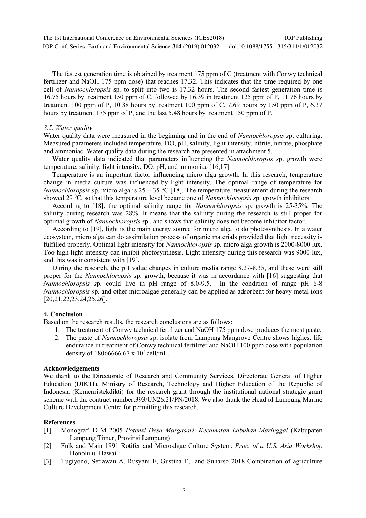The 1st International Conference on Environmental Sciences (ICES2018) IOP Conf. Series: Earth and Environmental Science **314** (2019) 012032 IOP Publishing doi:10.1088/1755-1315/314/1/012032

The fastest generation time is obtained by treatment 175 ppm of C (treatment with Conwy technical fertilizer and NaOH 175 ppm dose) that reaches 17.32. This indicates that the time required by one cell of *Nannochloropsis* sp. to split into two is 17.32 hours. The second fastest generation time is 16.75 hours by treatment 150 ppm of C, followed by 16.39 in treatment 125 ppm of P, 11.76 hours by treatment 100 ppm of P, 10.38 hours by treatment 100 ppm of C, 7.69 hours by 150 ppm of P, 6.37 hours by treatment 175 ppm of P, and the last 5.48 hours by treatment 150 ppm of P.

#### *3.5. Water quality*

Water quality data were measured in the beginning and in the end of *Nannochloropsis s*p. culturing. Measured parameters included temperature, DO, pH, salinity, light intensity, nitrite, nitrate, phosphate and ammoniac. Water quality data during the research are presented in attachment 5.

Water quality data indicated that parameters influencing the *Nannochloropsis s*p. growth were temperature, salinity, light intensity, DO, pH, and ammoniac [16,17].

Temperature is an important factor influencing micro alga growth. In this research, temperature change in media culture was influenced by light intensity. The optimal range of temperature for *Nannochloropsis sp.* micro alga is 25 – 35 °C [18]. The temperature measurement during the research showed 29 <sup>0</sup>C, so that this temperature level became one of *Nannochloropsis s*p. growth inhibitors.

According to [18], the optimal salinity range for *Nannochloropsis s*p. growth is 25-35%. The salinity during research was 28%. It means that the salinity during the research is still proper for optimal growth of *Nannochloropsis s*p., and shows that salinity does not become inhibitor factor.

According to [19], light is the main energy source for micro alga to do photosynthesis. In a water ecosystem, micro alga can do assimilation process of organic materials provided that light necessity is fulfilled properly. Optimal light intensity for *Nannochloropsis s*p. micro alga growth is 2000-8000 lux. Too high light intensity can inhibit photosynthesis. Light intensity during this research was 9000 lux, and this was inconsistent with [19].

During the research, the pH value changes in culture media range 8.27-8.35, and these were still proper for the *Nannochloropsis s*p. growth, because it was in accordance with [16] suggesting that *Nannochloropsis s*p. could live in pH range of 8.0-9.5. In the condition of range pH 6-8 *Nannochloropsis s*p. and other microalgae generally can be applied as adsorbent for heavy metal ions [20,21,22,23,24,25,26].

#### **4. Conclusion**

Based on the research results, the research conclusions are as follows:

- 1. The treatment of Conwy technical fertilizer and NaOH 175 ppm dose produces the most paste.
- 2. The paste of *Nannochloropsis s*p. isolate from Lampung Mangrove Centre shows highest life endurance in treatment of Conwy technical fertilizer and NaOH 100 ppm dose with population density of  $1806666667$  x  $10<sup>4</sup>$  cell/mL.

# **Acknowledgements**

We thank to the Directorate of Research and Community Services, Directorate General of Higher Education (DIKTI), Ministry of Research, Technology and Higher Education of the Republic of Indonesia (Kemenristekdikti) for the research grant through the institutional national strategic grant scheme with the contract number:393/UN26.21/PN/2018. We also thank the Head of Lampung Marine Culture Development Centre for permitting this research.

# **References**

- [1] Monografi D M 2005 *Potensi Desa Margasari, Kecamatan Labuhan Maringgai* (Kabupaten Lampung Timur, Provinsi Lampung)
- [2] Fulk and Main 1991 Rotifer and Microalgae Culture System. *Proc. of a U.S. Asia Workshop* Honolulu Hawai
- [3] Tugiyono, Setiawan A, Rusyani E, Gustina E, and Suharso 2018 Combination of agriculture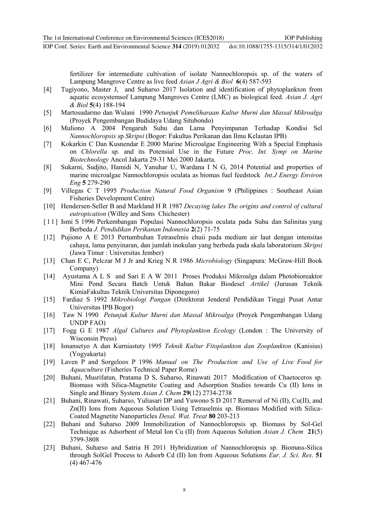IOP Conf. Series: Earth and Environmental Science **314** (2019) 012032 doi:10.1088/1755-1315/314/1/012032

fertilizer for intermediate cultivation of isolate Nannochloropsis sp. of the waters of Lampung Mangrove Centre as live feed *Asian J Agri & Biol* **6**(4) 587-593

- [4] Tugiyono, Master J, and Suharso 2017 Isolation and identification of phytoplankton from aquatic ecosystemsof Lampung Mangroves Centre (LMC) as biological feed. *Asian J. Agri & Biol* **5**(4) 188-194
- [5] Martosudarmo dan Wulani 1990 *Petunjuk Pemeliharaan Kultur Murni dan Massal Mikroalga* (Proyek Pengembangan Budidaya Udang Situbondo)
- [6] Muliono A 2004 Pengaruh Suhu dan Lama Penyimpanan Terhadap Kondisi Sel *Nannochloropsis* sp *Skripsi* (Bogor: Fakultas Perikanan dan Ilmu Kelautan IPB)
- [7] Kokarkin C Dan Kusnendar E 2000 Marine Microalgae Engineering With a Special Emphasis on *Chlorella* sp. and its Potensial Use in the Future *Proc. Int. Symp on Marine Biotechnology* Ancol Jakarta 29-31 Mei 2000 Jakarta.
- [8] Sukarni, Sudjito, Hamidi N, Yanuhar U, Wardana I N G, 2014 Potential and properties of marine microalgae Nannochloropsis oculata as biomas fuel feedstock *Int.J Energy Environ Eng* **5** 279-290
- [9] Villegas C T 1995 *Production Natural Food Organism* 9 (Philippines : Southeast Asian Fisheries Development Centre)
- [10] Hendersen-Seller B and Markland H R 1987 *Decaying lakes The origins and control of cultural eutropication* (Willey and Sons Chichester)
- [11] Ismi S 1996 Perkembangan Populasi Nannochloropsis oculata pada Suhu dan Salinitas yang Berbeda *J. Pendidikan Perikanan Indonesia* **2**(2) 71-75
- [12] Pujiono A E 2013 Pertumbuhan Tetraselmis chuii pada medium air laut dengan intensitas cahaya, lama penyinaran, dan jumlah inokulan yang berbeda pada skala laboratorium *Skripsi* (Jawa Timur : Universitas Jember)
- [13] Chan E C, Pelczar M J Jr and Krieg N R 1986 *Microbiology* (Singapura: McGraw-Hill Book Company)
- [14] Ayustama A L S and Sari E A W 2011 Proses Produksi Mikroalga dalam Photobioreaktor Mini Pond Secara Batch Untuk Bahan Bakar Biodesel *Artikel* (Jurusan Teknik KimiaFakultas Teknik Universitas Diponegoro)
- [15] Fardiaz S 1992 *Mikrobiologi Pangan* (Direktorat Jenderal Pendidikan Tinggi Pusat Antar Universitas IPB Bogor)
- [16] Taw N 1990 *Petunjuk Kultur Murni dan Massal Mikroalga* (Proyek Pengembangan Udang UNDP FAO)
- [17] Fogg G E 1987 *Algal Cultures and Phytoplankton Ecology* (London : The University of Wisconsin Press)
- [18] Isnansetyo A dan Kurniastuty 1995 *Teknik Kultur Fitoplankton dan Zooplankton* (Kanisius) (Yogyakarta)
- [19] Laven P and Sorgeloos P 1996 *Manual on The Production and Use of Live Food for Aquaculture* (Fisheries Technical Paper Rome)
- [20] Buhani, Musrifatun, Pratama D S, Suharso, Rinawati 2017 Modification of Chaetoceros sp. Biomass with Silica-Magnetite Coating and Adsorption Studies towards Cu (II) Ions in Single and Binary System *Asian J. Chem* **29**(12) 2734-2738
- [21] Buhani, Rinawati, Suharso, Yuliasari DP and Yuwono S D 2017 Removal of Ni (II), Cu(II), and Zn(II) Ions from Aqueous Solution Using Tetraselmis sp. Biomass Modified with Silica-Coated Magnetite Nanoparticles *Desal. Wat. Treat* **80** 203-213
- [22] Buhani and Suharso 2009 Immobilization of Nannochloropsis sp. Biomass by Sol-Gel Technique as Adsorbent of Metal Ion Cu (II) from Aqueous Solution *Asian J. Chem* **21**(5) 3799-3808
- [23] Buhani, Suharso and Satria H 2011 Hybridization of Nannochloropsis sp. Biomass-Silica through SolGel Process to Adsorb Cd (II) Ion from Aqueous Solutions *Eur. J. Sci. Res*. **51** (4) 467-476